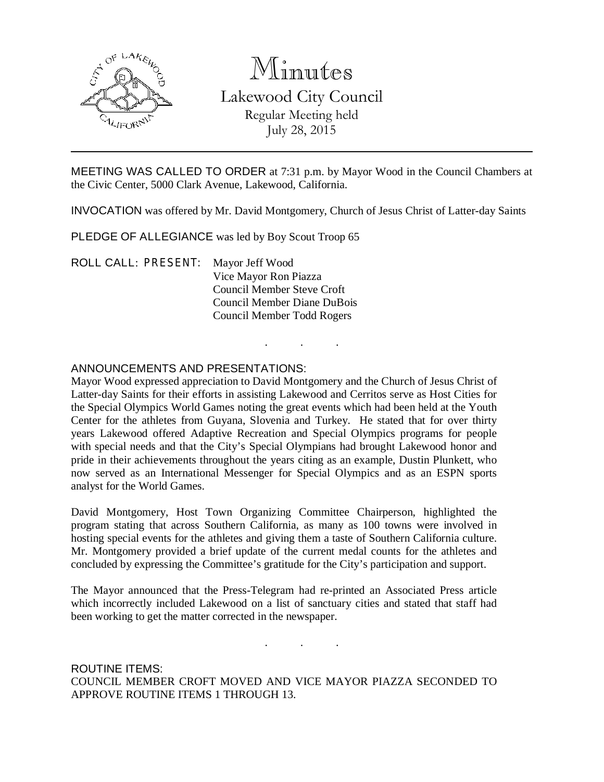

# Minutes Lakewood City Council Regular Meeting held July 28, 2015

MEETING WAS CALLED TO ORDER at 7:31 p.m. by Mayor Wood in the Council Chambers at the Civic Center, 5000 Clark Avenue, Lakewood, California.

INVOCATION was offered by Mr. David Montgomery, Church of Jesus Christ of Latter-day Saints

. . .

PLEDGE OF ALLEGIANCE was led by Boy Scout Troop 65

ROLL CALL: PRESENT: Mayor Jeff Wood Vice Mayor Ron Piazza Council Member Steve Croft Council Member Diane DuBois Council Member Todd Rogers

## ANNOUNCEMENTS AND PRESENTATIONS:

Mayor Wood expressed appreciation to David Montgomery and the Church of Jesus Christ of Latter-day Saints for their efforts in assisting Lakewood and Cerritos serve as Host Cities for the Special Olympics World Games noting the great events which had been held at the Youth Center for the athletes from Guyana, Slovenia and Turkey. He stated that for over thirty years Lakewood offered Adaptive Recreation and Special Olympics programs for people with special needs and that the City's Special Olympians had brought Lakewood honor and pride in their achievements throughout the years citing as an example, Dustin Plunkett, who now served as an International Messenger for Special Olympics and as an ESPN sports analyst for the World Games.

David Montgomery, Host Town Organizing Committee Chairperson, highlighted the program stating that across Southern California, as many as 100 towns were involved in hosting special events for the athletes and giving them a taste of Southern California culture. Mr. Montgomery provided a brief update of the current medal counts for the athletes and concluded by expressing the Committee's gratitude for the City's participation and support.

The Mayor announced that the Press-Telegram had re-printed an Associated Press article which incorrectly included Lakewood on a list of sanctuary cities and stated that staff had been working to get the matter corrected in the newspaper.

. . .

ROUTINE ITEMS: COUNCIL MEMBER CROFT MOVED AND VICE MAYOR PIAZZA SECONDED TO APPROVE ROUTINE ITEMS 1 THROUGH 13.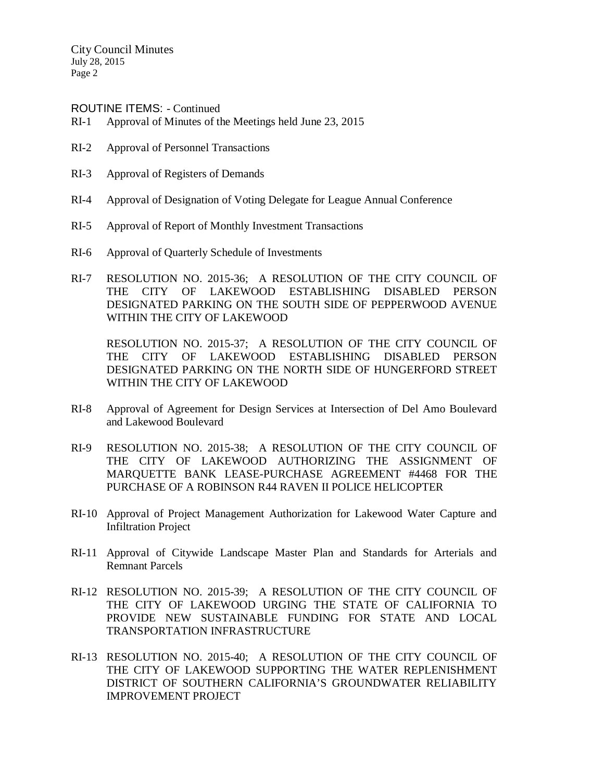ROUTINE ITEMS: - Continued

- RI-1 Approval of Minutes of the Meetings held June 23, 2015
- RI-2 Approval of Personnel Transactions
- RI-3 Approval of Registers of Demands
- RI-4 Approval of Designation of Voting Delegate for League Annual Conference
- RI-5 Approval of Report of Monthly Investment Transactions
- RI-6 Approval of Quarterly Schedule of Investments
- RI-7 RESOLUTION NO. 2015-36; A RESOLUTION OF THE CITY COUNCIL OF THE CITY OF LAKEWOOD ESTABLISHING DISABLED PERSON DESIGNATED PARKING ON THE SOUTH SIDE OF PEPPERWOOD AVENUE WITHIN THE CITY OF LAKEWOOD

RESOLUTION NO. 2015-37; A RESOLUTION OF THE CITY COUNCIL OF THE CITY OF LAKEWOOD ESTABLISHING DISABLED PERSON DESIGNATED PARKING ON THE NORTH SIDE OF HUNGERFORD STREET WITHIN THE CITY OF LAKEWOOD

- RI-8 Approval of Agreement for Design Services at Intersection of Del Amo Boulevard and Lakewood Boulevard
- RI-9 RESOLUTION NO. 2015-38; A RESOLUTION OF THE CITY COUNCIL OF THE CITY OF LAKEWOOD AUTHORIZING THE ASSIGNMENT OF MARQUETTE BANK LEASE-PURCHASE AGREEMENT #4468 FOR THE PURCHASE OF A ROBINSON R44 RAVEN II POLICE HELICOPTER
- RI-10 Approval of Project Management Authorization for Lakewood Water Capture and Infiltration Project
- RI-11 Approval of Citywide Landscape Master Plan and Standards for Arterials and Remnant Parcels
- RI-12 RESOLUTION NO. 2015-39; A RESOLUTION OF THE CITY COUNCIL OF THE CITY OF LAKEWOOD URGING THE STATE OF CALIFORNIA TO PROVIDE NEW SUSTAINABLE FUNDING FOR STATE AND LOCAL TRANSPORTATION INFRASTRUCTURE
- RI-13 RESOLUTION NO. 2015-40; A RESOLUTION OF THE CITY COUNCIL OF THE CITY OF LAKEWOOD SUPPORTING THE WATER REPLENISHMENT DISTRICT OF SOUTHERN CALIFORNIA'S GROUNDWATER RELIABILITY IMPROVEMENT PROJECT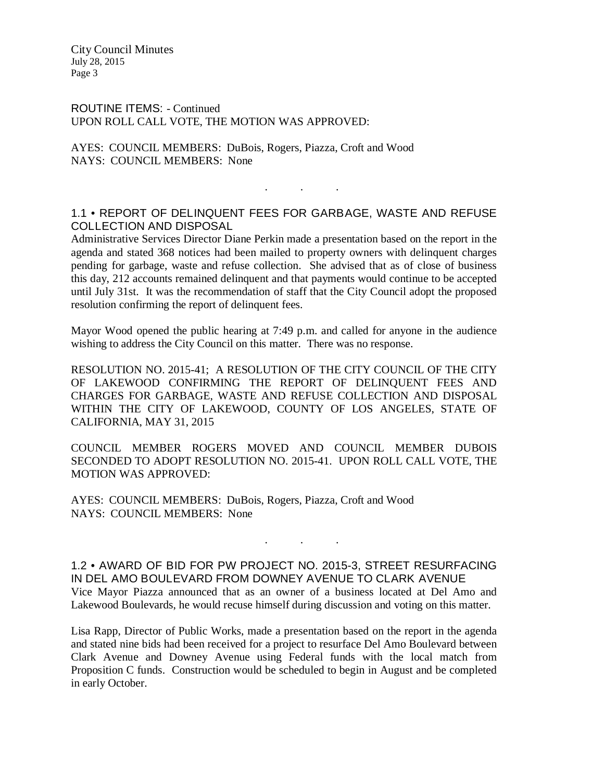ROUTINE ITEMS: - Continued UPON ROLL CALL VOTE, THE MOTION WAS APPROVED:

AYES: COUNCIL MEMBERS: DuBois, Rogers, Piazza, Croft and Wood NAYS: COUNCIL MEMBERS: None

# 1.1 • REPORT OF DELINQUENT FEES FOR GARBAGE, WASTE AND REFUSE COLLECTION AND DISPOSAL

. . .

Administrative Services Director Diane Perkin made a presentation based on the report in the agenda and stated 368 notices had been mailed to property owners with delinquent charges pending for garbage, waste and refuse collection. She advised that as of close of business this day, 212 accounts remained delinquent and that payments would continue to be accepted until July 31st. It was the recommendation of staff that the City Council adopt the proposed resolution confirming the report of delinquent fees.

Mayor Wood opened the public hearing at 7:49 p.m. and called for anyone in the audience wishing to address the City Council on this matter. There was no response.

RESOLUTION NO. 2015-41; A RESOLUTION OF THE CITY COUNCIL OF THE CITY OF LAKEWOOD CONFIRMING THE REPORT OF DELINQUENT FEES AND CHARGES FOR GARBAGE, WASTE AND REFUSE COLLECTION AND DISPOSAL WITHIN THE CITY OF LAKEWOOD, COUNTY OF LOS ANGELES, STATE OF CALIFORNIA, MAY 31, 2015

COUNCIL MEMBER ROGERS MOVED AND COUNCIL MEMBER DUBOIS SECONDED TO ADOPT RESOLUTION NO. 2015-41. UPON ROLL CALL VOTE, THE MOTION WAS APPROVED:

AYES: COUNCIL MEMBERS: DuBois, Rogers, Piazza, Croft and Wood NAYS: COUNCIL MEMBERS: None

1.2 • AWARD OF BID FOR PW PROJECT NO. 2015-3, STREET RESURFACING IN DEL AMO BOULEVARD FROM DOWNEY AVENUE TO CLARK AVENUE Vice Mayor Piazza announced that as an owner of a business located at Del Amo and Lakewood Boulevards, he would recuse himself during discussion and voting on this matter.

. . .

Lisa Rapp, Director of Public Works, made a presentation based on the report in the agenda and stated nine bids had been received for a project to resurface Del Amo Boulevard between Clark Avenue and Downey Avenue using Federal funds with the local match from Proposition C funds. Construction would be scheduled to begin in August and be completed in early October.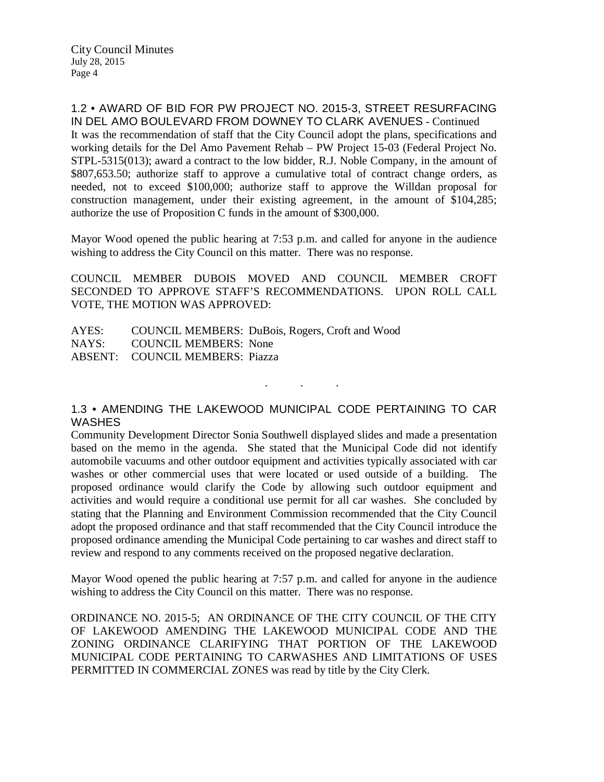#### 1.2 • AWARD OF BID FOR PW PROJECT NO. 2015-3, STREET RESURFACING IN DEL AMO BOULEVARD FROM DOWNEY TO CLARK AVENUES - Continued

It was the recommendation of staff that the City Council adopt the plans, specifications and working details for the Del Amo Pavement Rehab – PW Project 15-03 (Federal Project No. STPL-5315(013); award a contract to the low bidder, R.J. Noble Company, in the amount of \$807,653.50; authorize staff to approve a cumulative total of contract change orders, as needed, not to exceed \$100,000; authorize staff to approve the Willdan proposal for construction management, under their existing agreement, in the amount of \$104,285; authorize the use of Proposition C funds in the amount of \$300,000.

Mayor Wood opened the public hearing at 7:53 p.m. and called for anyone in the audience wishing to address the City Council on this matter. There was no response.

COUNCIL MEMBER DUBOIS MOVED AND COUNCIL MEMBER CROFT SECONDED TO APPROVE STAFF'S RECOMMENDATIONS. UPON ROLL CALL VOTE, THE MOTION WAS APPROVED:

AYES: COUNCIL MEMBERS: DuBois, Rogers, Croft and Wood NAYS: COUNCIL MEMBERS: None ABSENT: COUNCIL MEMBERS: Piazza

## 1.3 • AMENDING THE LAKEWOOD MUNICIPAL CODE PERTAINING TO CAR **WASHES**

. . .

Community Development Director Sonia Southwell displayed slides and made a presentation based on the memo in the agenda. She stated that the Municipal Code did not identify automobile vacuums and other outdoor equipment and activities typically associated with car washes or other commercial uses that were located or used outside of a building. The proposed ordinance would clarify the Code by allowing such outdoor equipment and activities and would require a conditional use permit for all car washes. She concluded by stating that the Planning and Environment Commission recommended that the City Council adopt the proposed ordinance and that staff recommended that the City Council introduce the proposed ordinance amending the Municipal Code pertaining to car washes and direct staff to review and respond to any comments received on the proposed negative declaration.

Mayor Wood opened the public hearing at 7:57 p.m. and called for anyone in the audience wishing to address the City Council on this matter. There was no response.

ORDINANCE NO. 2015-5; AN ORDINANCE OF THE CITY COUNCIL OF THE CITY OF LAKEWOOD AMENDING THE LAKEWOOD MUNICIPAL CODE AND THE ZONING ORDINANCE CLARIFYING THAT PORTION OF THE LAKEWOOD MUNICIPAL CODE PERTAINING TO CARWASHES AND LIMITATIONS OF USES PERMITTED IN COMMERCIAL ZONES was read by title by the City Clerk.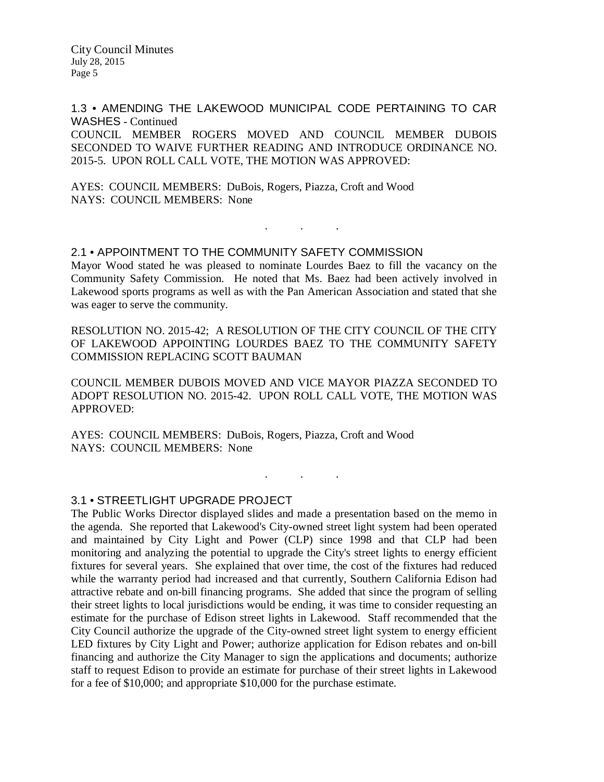1.3 • AMENDING THE LAKEWOOD MUNICIPAL CODE PERTAINING TO CAR WASHES - Continued COUNCIL MEMBER ROGERS MOVED AND COUNCIL MEMBER DUBOIS SECONDED TO WAIVE FURTHER READING AND INTRODUCE ORDINANCE NO. 2015-5. UPON ROLL CALL VOTE, THE MOTION WAS APPROVED:

AYES: COUNCIL MEMBERS: DuBois, Rogers, Piazza, Croft and Wood NAYS: COUNCIL MEMBERS: None

#### 2.1 • APPOINTMENT TO THE COMMUNITY SAFETY COMMISSION

Mayor Wood stated he was pleased to nominate Lourdes Baez to fill the vacancy on the Community Safety Commission. He noted that Ms. Baez had been actively involved in Lakewood sports programs as well as with the Pan American Association and stated that she was eager to serve the community.

. . .

RESOLUTION NO. 2015-42; A RESOLUTION OF THE CITY COUNCIL OF THE CITY OF LAKEWOOD APPOINTING LOURDES BAEZ TO THE COMMUNITY SAFETY COMMISSION REPLACING SCOTT BAUMAN

COUNCIL MEMBER DUBOIS MOVED AND VICE MAYOR PIAZZA SECONDED TO ADOPT RESOLUTION NO. 2015-42. UPON ROLL CALL VOTE, THE MOTION WAS APPROVED:

. . .

AYES: COUNCIL MEMBERS: DuBois, Rogers, Piazza, Croft and Wood NAYS: COUNCIL MEMBERS: None

#### 3.1 • STREETLIGHT UPGRADE PROJECT

The Public Works Director displayed slides and made a presentation based on the memo in the agenda. She reported that Lakewood's City-owned street light system had been operated and maintained by City Light and Power (CLP) since 1998 and that CLP had been monitoring and analyzing the potential to upgrade the City's street lights to energy efficient fixtures for several years. She explained that over time, the cost of the fixtures had reduced while the warranty period had increased and that currently, Southern California Edison had attractive rebate and on-bill financing programs. She added that since the program of selling their street lights to local jurisdictions would be ending, it was time to consider requesting an estimate for the purchase of Edison street lights in Lakewood. Staff recommended that the City Council authorize the upgrade of the City-owned street light system to energy efficient LED fixtures by City Light and Power; authorize application for Edison rebates and on-bill financing and authorize the City Manager to sign the applications and documents; authorize staff to request Edison to provide an estimate for purchase of their street lights in Lakewood for a fee of \$10,000; and appropriate \$10,000 for the purchase estimate.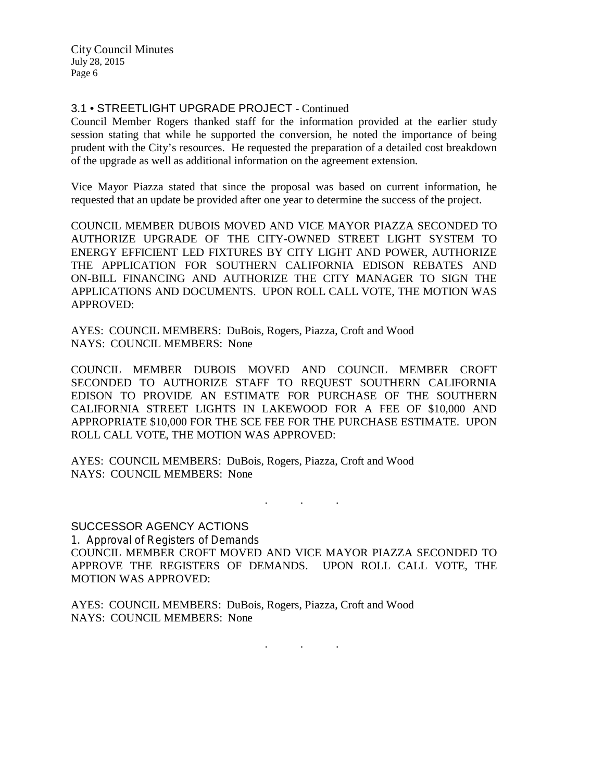### 3.1 • STREETLIGHT UPGRADE PROJECT - Continued

Council Member Rogers thanked staff for the information provided at the earlier study session stating that while he supported the conversion, he noted the importance of being prudent with the City's resources. He requested the preparation of a detailed cost breakdown of the upgrade as well as additional information on the agreement extension.

Vice Mayor Piazza stated that since the proposal was based on current information, he requested that an update be provided after one year to determine the success of the project.

COUNCIL MEMBER DUBOIS MOVED AND VICE MAYOR PIAZZA SECONDED TO AUTHORIZE UPGRADE OF THE CITY-OWNED STREET LIGHT SYSTEM TO ENERGY EFFICIENT LED FIXTURES BY CITY LIGHT AND POWER, AUTHORIZE THE APPLICATION FOR SOUTHERN CALIFORNIA EDISON REBATES AND ON-BILL FINANCING AND AUTHORIZE THE CITY MANAGER TO SIGN THE APPLICATIONS AND DOCUMENTS. UPON ROLL CALL VOTE, THE MOTION WAS APPROVED:

AYES: COUNCIL MEMBERS: DuBois, Rogers, Piazza, Croft and Wood NAYS: COUNCIL MEMBERS: None

COUNCIL MEMBER DUBOIS MOVED AND COUNCIL MEMBER CROFT SECONDED TO AUTHORIZE STAFF TO REQUEST SOUTHERN CALIFORNIA EDISON TO PROVIDE AN ESTIMATE FOR PURCHASE OF THE SOUTHERN CALIFORNIA STREET LIGHTS IN LAKEWOOD FOR A FEE OF \$10,000 AND APPROPRIATE \$10,000 FOR THE SCE FEE FOR THE PURCHASE ESTIMATE. UPON ROLL CALL VOTE, THE MOTION WAS APPROVED:

AYES: COUNCIL MEMBERS: DuBois, Rogers, Piazza, Croft and Wood NAYS: COUNCIL MEMBERS: None

SUCCESSOR AGENCY ACTIONS 1. Approval of Registers of Demands COUNCIL MEMBER CROFT MOVED AND VICE MAYOR PIAZZA SECONDED TO APPROVE THE REGISTERS OF DEMANDS. UPON ROLL CALL VOTE, THE MOTION WAS APPROVED:

. The set of the set of the  $\mathcal{E}_\mathbf{r}$ 

AYES: COUNCIL MEMBERS: DuBois, Rogers, Piazza, Croft and Wood NAYS: COUNCIL MEMBERS: None

. . .